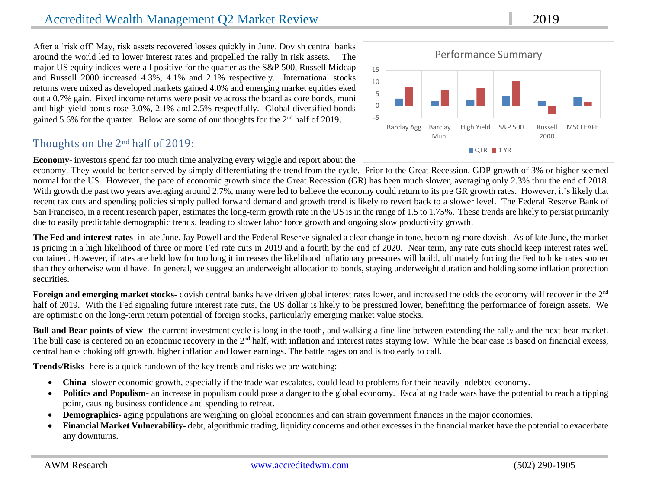## Accredited Wealth Management Q2 Market Review 2019

After a 'risk off' May, risk assets recovered losses quickly in June. Dovish central banks around the world led to lower interest rates and propelled the rally in risk assets. The major US equity indices were all positive for the quarter as the S&P 500, Russell Midcap and Russell 2000 increased 4.3%, 4.1% and 2.1% respectively. International stocks returns were mixed as developed markets gained 4.0% and emerging market equities eked out a 0.7% gain. Fixed income returns were positive across the board as core bonds, muni and high-yield bonds rose 3.0%, 2.1% and 2.5% respectfully. Global diversified bonds gained 5.6% for the quarter. Below are some of our thoughts for the 2nd half of 2019.

### Thoughts on the 2nd half of 2019:

**Economy**- investors spend far too much time analyzing every wiggle and report about the

economy. They would be better served by simply differentiating the trend from the cycle. Prior to the Great Recession, GDP growth of 3% or higher seemed normal for the US. However, the pace of economic growth since the Great Recession (GR) has been much slower, averaging only 2.3% thru the end of 2018. With growth the past two years averaging around 2.7%, many were led to believe the economy could return to its pre GR growth rates. However, it's likely that recent tax cuts and spending policies simply pulled forward demand and growth trend is likely to revert back to a slower level. The Federal Reserve Bank of San Francisco, in a recent research paper, estimates the long-term growth rate in the US is in the range of 1.5 to 1.75%. These trends are likely to persist primarily due to easily predictable demographic trends, leading to slower labor force growth and ongoing slow productivity growth.

**The Fed and interest rates**- in late June, Jay Powell and the Federal Reserve signaled a clear change in tone, becoming more dovish. As of late June, the market is pricing in a high likelihood of three or more Fed rate cuts in 2019 and a fourth by the end of 2020. Near term, any rate cuts should keep interest rates well contained. However, if rates are held low for too long it increases the likelihood inflationary pressures will build, ultimately forcing the Fed to hike rates sooner than they otherwise would have. In general, we suggest an underweight allocation to bonds, staying underweight duration and holding some inflation protection securities.

Foreign and emerging market stocks- dovish central banks have driven global interest rates lower, and increased the odds the economy will recover in the 2<sup>nd</sup> half of 2019. With the Fed signaling future interest rate cuts, the US dollar is likely to be pressured lower, benefitting the performance of foreign assets. We are optimistic on the long-term return potential of foreign stocks, particularly emerging market value stocks.

**Bull and Bear points of view**- the current investment cycle is long in the tooth, and walking a fine line between extending the rally and the next bear market. The bull case is centered on an economic recovery in the 2<sup>nd</sup> half, with inflation and interest rates staying low. While the bear case is based on financial excess, central banks choking off growth, higher inflation and lower earnings. The battle rages on and is too early to call.

**Trends/Risks**- here is a quick rundown of the key trends and risks we are watching:

- **China-** slower economic growth, especially if the trade war escalates, could lead to problems for their heavily indebted economy.
- Politics and Populism- an increase in populism could pose a danger to the global economy. Escalating trade wars have the potential to reach a tipping point, causing business confidence and spending to retreat.
- **Demographics-** aging populations are weighing on global economies and can strain government finances in the major economies.
- **Financial Market Vulnerability-** debt, algorithmic trading, liquidity concerns and other excesses in the financial market have the potential to exacerbate any downturns.

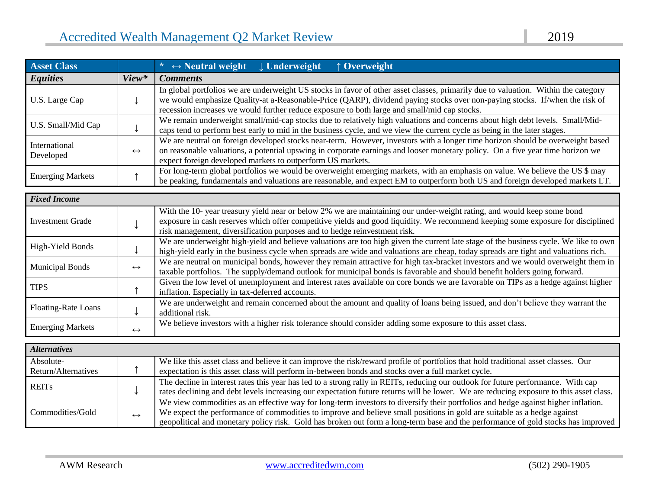| <b>Asset Class</b>         |                   | $\ast$ $\leftrightarrow$ Neutral weight Underweight<br>$\uparrow$ Overweight                                                                                                                                                                                                                                                                                      |  |  |
|----------------------------|-------------------|-------------------------------------------------------------------------------------------------------------------------------------------------------------------------------------------------------------------------------------------------------------------------------------------------------------------------------------------------------------------|--|--|
| <b>Equities</b>            | View*             | <b>Comments</b>                                                                                                                                                                                                                                                                                                                                                   |  |  |
| U.S. Large Cap             |                   | In global portfolios we are underweight US stocks in favor of other asset classes, primarily due to valuation. Within the category<br>we would emphasize Quality-at a-Reasonable-Price (QARP), dividend paying stocks over non-paying stocks. If/when the risk of<br>recession increases we would further reduce exposure to both large and small/mid cap stocks. |  |  |
| U.S. Small/Mid Cap         |                   | We remain underweight small/mid-cap stocks due to relatively high valuations and concerns about high debt levels. Small/Mid-<br>caps tend to perform best early to mid in the business cycle, and we view the current cycle as being in the later stages.                                                                                                         |  |  |
| International<br>Developed | $\leftrightarrow$ | We are neutral on foreign developed stocks near-term. However, investors with a longer time horizon should be overweight based<br>on reasonable valuations, a potential upswing in corporate earnings and looser monetary policy. On a five year time horizon we<br>expect foreign developed markets to outperform US markets.                                    |  |  |
| <b>Emerging Markets</b>    |                   | For long-term global portfolios we would be overweight emerging markets, with an emphasis on value. We believe the US \$ may<br>be peaking, fundamentals and valuations are reasonable, and expect EM to outperform both US and foreign developed markets LT.                                                                                                     |  |  |

| <b>Fixed Income</b>     |                   |                                                                                                                                      |
|-------------------------|-------------------|--------------------------------------------------------------------------------------------------------------------------------------|
|                         |                   | With the 10- year treasury yield near or below 2% we are maintaining our under-weight rating, and would keep some bond               |
| <b>Investment Grade</b> |                   | exposure in cash reserves which offer competitive yields and good liquidity. We recommend keeping some exposure for disciplined      |
|                         |                   | risk management, diversification purposes and to hedge reinvestment risk.                                                            |
| High-Yield Bonds        |                   | We are underweight high-yield and believe valuations are too high given the current late stage of the business cycle. We like to own |
|                         |                   | high-yield early in the business cycle when spreads are wide and valuations are cheap, today spreads are tight and valuations rich.  |
| <b>Municipal Bonds</b>  | $\leftrightarrow$ | We are neutral on municipal bonds, however they remain attractive for high tax-bracket investors and we would overweight them in     |
|                         |                   | taxable portfolios. The supply/demand outlook for municipal bonds is favorable and should benefit holders going forward.             |
| <b>TIPS</b>             |                   | Given the low level of unemployment and interest rates available on core bonds we are favorable on TIPs as a hedge against higher    |
|                         |                   | inflation. Especially in tax-deferred accounts.                                                                                      |
| Floating-Rate Loans     |                   | We are underweight and remain concerned about the amount and quality of loans being issued, and don't believe they warrant the       |
|                         |                   | additional risk.                                                                                                                     |
| <b>Emerging Markets</b> |                   | We believe investors with a higher risk tolerance should consider adding some exposure to this asset class.                          |
|                         | $\leftrightarrow$ |                                                                                                                                      |

| <b>Alternatives</b> |                   |                                                                                                                                        |
|---------------------|-------------------|----------------------------------------------------------------------------------------------------------------------------------------|
| Absolute-           |                   | We like this asset class and believe it can improve the risk/reward profile of portfolios that hold traditional asset classes. Our     |
| Return/Alternatives |                   | expectation is this asset class will perform in-between bonds and stocks over a full market cycle.                                     |
| <b>REITs</b>        |                   | The decline in interest rates this year has led to a strong rally in REITs, reducing our outlook for future performance. With cap      |
|                     |                   | rates declining and debt levels increasing our expectation future returns will be lower. We are reducing exposure to this asset class. |
|                     |                   | We view commodities as an effective way for long-term investors to diversify their portfolios and hedge against higher inflation.      |
| Commodities/Gold    | $\leftrightarrow$ | We expect the performance of commodities to improve and believe small positions in gold are suitable as a hedge against                |
|                     |                   | geopolitical and monetary policy risk. Gold has broken out form a long-term base and the performance of gold stocks has improved       |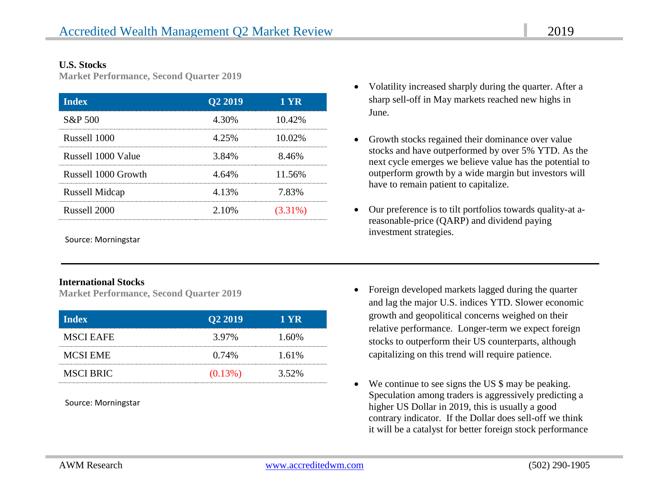#### **U.S. Stocks**

**Market Performance, Second Quarter 2019**

| <b>Index</b>          | Q <sub>2</sub> 2019 | 1 YR       |
|-----------------------|---------------------|------------|
| S&P 500               | 4.30%               | 10.42%     |
| Russell 1000          | 4.25%               | 10.02%     |
| Russell 1000 Value    | 3.84%               | 8.46%      |
| Russell 1000 Growth   | 4.64%               | 11.56%     |
| <b>Russell Midcap</b> | 4.13%               | 7.83%      |
| Russell 2000          | 2.10%               | $(3.31\%)$ |

Source: Morningstar

#### **International Stocks**

**Market Performance, Second Quarter 2019**

| <b>Index</b>     | Q <sub>2</sub> 2019 | T YR  |
|------------------|---------------------|-------|
| <b>MSCI EAFE</b> | 3.97%               | 1.60% |
| <b>MCSI EME</b>  | $0.74\%$            | 1.61% |
| MSCI BRIC        | $(0.13\%)$          | 3.52% |

Source: Morningstar

- Volatility increased sharply during the quarter. After a sharp sell-off in May markets reached new highs in June.
- Growth stocks regained their dominance over value stocks and have outperformed by over 5% YTD. As the next cycle emerges we believe value has the potential to outperform growth by a wide margin but investors will have to remain patient to capitalize.
- Our preference is to tilt portfolios towards quality-at areasonable-price (QARP) and dividend paying investment strategies.
- Foreign developed markets lagged during the quarter and lag the major U.S. indices YTD. Slower economic growth and geopolitical concerns weighed on their relative performance. Longer-term we expect foreign stocks to outperform their US counterparts, although capitalizing on this trend will require patience.
- We continue to see signs the US \$ may be peaking. Speculation among traders is aggressively predicting a higher US Dollar in 2019, this is usually a good contrary indicator. If the Dollar does sell-off we think it will be a catalyst for better foreign stock performance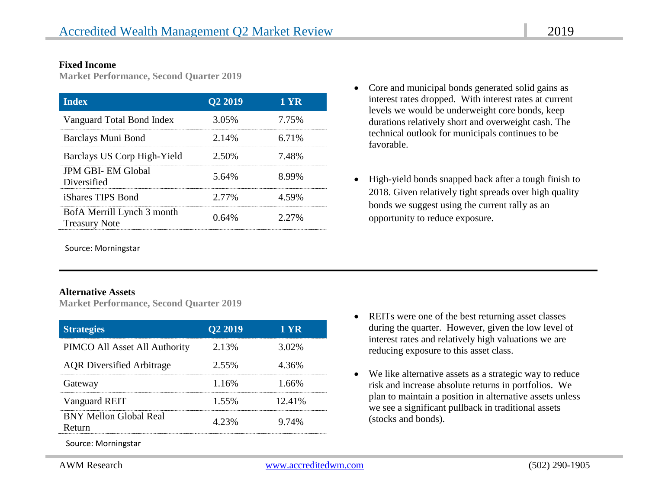#### **Fixed Income**

**Market Performance, Second Quarter 2019**

| <b>Index</b>                                       | Q <sub>2</sub> 2019 | 1 YR  |
|----------------------------------------------------|---------------------|-------|
| Vanguard Total Bond Index                          | 3.05%               | 7.75% |
| Barclays Muni Bond                                 | 2.14%               | 6.71% |
| Barclays US Corp High-Yield                        | 2.50%               | 7.48% |
| <b>JPM GBI-EM Global</b><br>Diversified            | 5.64%               | 8.99% |
| iShares TIPS Bond                                  | 2.77%               | 4.59% |
| BofA Merrill Lynch 3 month<br><b>Treasury Note</b> | 0.64%               | 2.27% |

Source: Morningstar

#### **Alternative Assets**

**Market Performance, Second Quarter 2019**

| <b>Strategies</b>                       | Q <sub>2</sub> 2019 | 1 YR   |
|-----------------------------------------|---------------------|--------|
| PIMCO All Asset All Authority           | 2.13%               | 3.02%  |
| <b>AQR</b> Diversified Arbitrage        | 2.55%               | 4.36%  |
| Gateway                                 | 1.16%               | 1 66%  |
| Vanguard REIT                           | 1.55%               | 12.41% |
| <b>BNY Mellon Global Real</b><br>Return | 4.23%               | 9.74%  |

Source: Morningstar

- Core and municipal bonds generated solid gains as interest rates dropped. With interest rates at current levels we would be underweight core bonds, keep durations relatively short and overweight cash. The technical outlook for municipals continues to be favorable.
- High-yield bonds snapped back after a tough finish to 2018. Given relatively tight spreads over high quality bonds we suggest using the current rally as an opportunity to reduce exposure.

- REITs were one of the best returning asset classes during the quarter. However, given the low level of interest rates and relatively high valuations we are reducing exposure to this asset class.
- We like alternative assets as a strategic way to reduce risk and increase absolute returns in portfolios. We plan to maintain a position in alternative assets unless we see a significant pullback in traditional assets (stocks and bonds).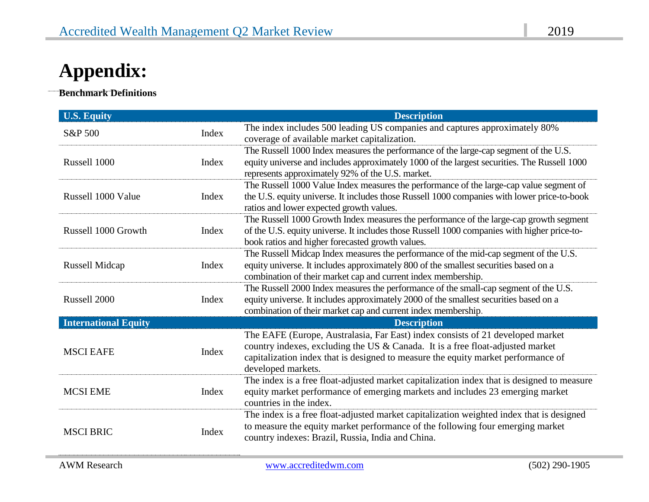# **Appendix:**

**Benchmark Definitions**

 $\ddot{\phantom{0}}$ 

| <b>U.S. Equity</b>          |       | <b>Description</b>                                                                                                                                                                                                                                                          |
|-----------------------------|-------|-----------------------------------------------------------------------------------------------------------------------------------------------------------------------------------------------------------------------------------------------------------------------------|
| S&P 500                     | Index | The index includes 500 leading US companies and captures approximately 80%<br>coverage of available market capitalization.                                                                                                                                                  |
| Russell 1000                | Index | The Russell 1000 Index measures the performance of the large-cap segment of the U.S.<br>equity universe and includes approximately 1000 of the largest securities. The Russell 1000<br>represents approximately 92% of the U.S. market.                                     |
| Russell 1000 Value          | Index | The Russell 1000 Value Index measures the performance of the large-cap value segment of<br>the U.S. equity universe. It includes those Russell 1000 companies with lower price-to-book<br>ratios and lower expected growth values.                                          |
| Russell 1000 Growth         | Index | The Russell 1000 Growth Index measures the performance of the large-cap growth segment<br>of the U.S. equity universe. It includes those Russell 1000 companies with higher price-to-<br>book ratios and higher forecasted growth values.                                   |
| Russell Midcap              | Index | The Russell Midcap Index measures the performance of the mid-cap segment of the U.S.<br>equity universe. It includes approximately 800 of the smallest securities based on a<br>combination of their market cap and current index membership.                               |
| Russell 2000                | Index | The Russell 2000 Index measures the performance of the small-cap segment of the U.S.<br>equity universe. It includes approximately 2000 of the smallest securities based on a<br>combination of their market cap and current index membership.                              |
| <b>International Equity</b> |       | <b>Description</b>                                                                                                                                                                                                                                                          |
| <b>MSCI EAFE</b>            | Index | The EAFE (Europe, Australasia, Far East) index consists of 21 developed market<br>country indexes, excluding the US & Canada. It is a free float-adjusted market<br>capitalization index that is designed to measure the equity market performance of<br>developed markets. |
| <b>MCSI EME</b>             | Index | The index is a free float-adjusted market capitalization index that is designed to measure<br>equity market performance of emerging markets and includes 23 emerging market<br>countries in the index.                                                                      |
| <b>MSCI BRIC</b>            | Index | The index is a free float-adjusted market capitalization weighted index that is designed<br>to measure the equity market performance of the following four emerging market<br>country indexes: Brazil, Russia, India and China.                                             |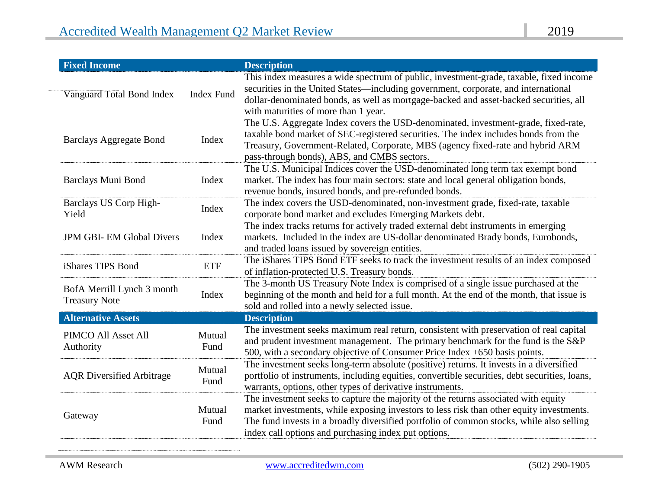| <b>Fixed Income</b>                                |                   | <b>Description</b>                                                                                                                                                                                                                                                                                                                 |
|----------------------------------------------------|-------------------|------------------------------------------------------------------------------------------------------------------------------------------------------------------------------------------------------------------------------------------------------------------------------------------------------------------------------------|
| Vanguard Total Bond Index                          | <b>Index Fund</b> | This index measures a wide spectrum of public, investment-grade, taxable, fixed income<br>securities in the United States—including government, corporate, and international<br>dollar-denominated bonds, as well as mortgage-backed and asset-backed securities, all<br>with maturities of more than 1 year.                      |
| <b>Barclays Aggregate Bond</b>                     | Index             | The U.S. Aggregate Index covers the USD-denominated, investment-grade, fixed-rate,<br>taxable bond market of SEC-registered securities. The index includes bonds from the<br>Treasury, Government-Related, Corporate, MBS (agency fixed-rate and hybrid ARM<br>pass-through bonds), ABS, and CMBS sectors.                         |
| Barclays Muni Bond                                 | Index             | The U.S. Municipal Indices cover the USD-denominated long term tax exempt bond<br>market. The index has four main sectors: state and local general obligation bonds,<br>revenue bonds, insured bonds, and pre-refunded bonds.                                                                                                      |
| Barclays US Corp High-<br>Yield                    | Index             | The index covers the USD-denominated, non-investment grade, fixed-rate, taxable<br>corporate bond market and excludes Emerging Markets debt.                                                                                                                                                                                       |
| <b>JPM GBI-EM Global Divers</b>                    | Index             | The index tracks returns for actively traded external debt instruments in emerging<br>markets. Included in the index are US-dollar denominated Brady bonds, Eurobonds,<br>and traded loans issued by sovereign entities.                                                                                                           |
| iShares TIPS Bond                                  | <b>ETF</b>        | The iShares TIPS Bond ETF seeks to track the investment results of an index composed<br>of inflation-protected U.S. Treasury bonds.                                                                                                                                                                                                |
| BofA Merrill Lynch 3 month<br><b>Treasury Note</b> | Index             | The 3-month US Treasury Note Index is comprised of a single issue purchased at the<br>beginning of the month and held for a full month. At the end of the month, that issue is<br>sold and rolled into a newly selected issue.                                                                                                     |
| <b>Alternative Assets</b>                          |                   | <b>Description</b>                                                                                                                                                                                                                                                                                                                 |
| PIMCO All Asset All<br>Authority                   | Mutual<br>Fund    | The investment seeks maximum real return, consistent with preservation of real capital<br>and prudent investment management. The primary benchmark for the fund is the S&P<br>500, with a secondary objective of Consumer Price Index +650 basis points.                                                                           |
| <b>AQR</b> Diversified Arbitrage                   | Mutual<br>Fund    | The investment seeks long-term absolute (positive) returns. It invests in a diversified<br>portfolio of instruments, including equities, convertible securities, debt securities, loans,<br>warrants, options, other types of derivative instruments.                                                                              |
| Gateway                                            | Mutual<br>Fund    | The investment seeks to capture the majority of the returns associated with equity<br>market investments, while exposing investors to less risk than other equity investments.<br>The fund invests in a broadly diversified portfolio of common stocks, while also selling<br>index call options and purchasing index put options. |